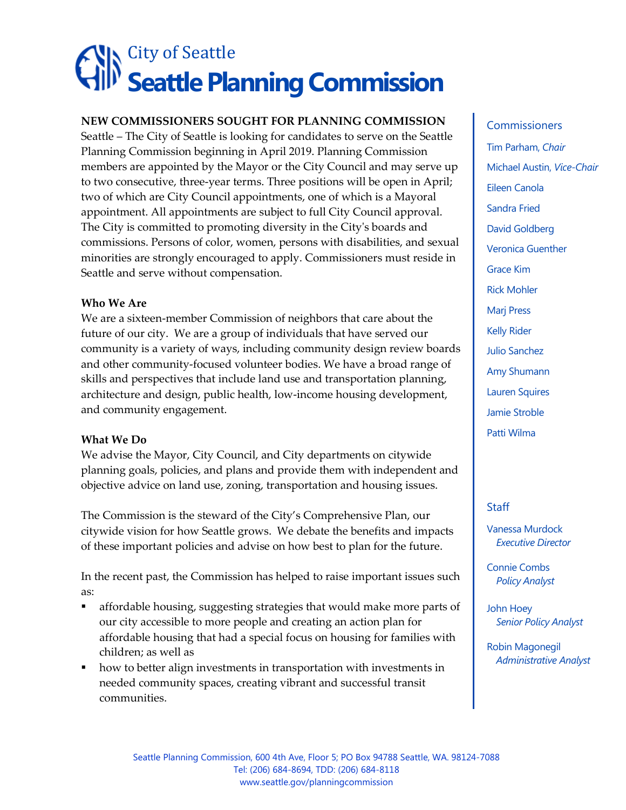# City of Seattle **Seattle Planning Commission**

# **NEW COMMISSIONERS SOUGHT FOR PLANNING COMMISSION**

Seattle – The City of Seattle is looking for candidates to serve on the Seattle Planning Commission beginning in April 2019. Planning Commission members are appointed by the Mayor or the City Council and may serve up to two consecutive, three-year terms. Three positions will be open in April; two of which are City Council appointments, one of which is a Mayoral appointment. All appointments are subject to full City Council approval. The City is committed to promoting diversity in the City's boards and commissions. Persons of color, women, persons with disabilities, and sexual minorities are strongly encouraged to apply. Commissioners must reside in Seattle and serve without compensation.

# **Who We Are**

We are a sixteen-member Commission of neighbors that care about the future of our city. We are a group of individuals that have served our community is a variety of ways, including community design review boards and other community-focused volunteer bodies. We have a broad range of skills and perspectives that include land use and transportation planning, architecture and design, public health, low-income housing development, and community engagement.

# **What We Do**

We advise the Mayor, City Council, and City departments on citywide planning goals, policies, and plans and provide them with independent and objective advice on land use, zoning, transportation and housing issues.

The Commission is the steward of the City's Comprehensive Plan, our citywide vision for how Seattle grows. We debate the benefits and impacts of these important policies and advise on how best to plan for the future.

In the recent past, the Commission has helped to raise important issues such as:

- **•** affordable housing, suggesting strategies that would make more parts of our city accessible to more people and creating an action plan for affordable housing that had a special focus on housing for families with children; as well as
- how to better align investments in transportation with investments in needed community spaces, creating vibrant and successful transit communities.

#### **Commissioners**

Tim Parham, *Chair* Michael Austin, *Vice-Chair* Eileen Canola Sandra Fried David Goldberg Veronica Guenther Grace Kim Rick Mohler Marj Press Kelly Rider Julio Sanchez Amy Shumann Lauren Squires Jamie Stroble Patti Wilma

# **Staff**

Vanessa Murdock *Executive Director*

Connie Combs *Policy Analyst*

John Hoey *Senior Policy Analyst*

Robin Magonegil *Administrative Analyst*